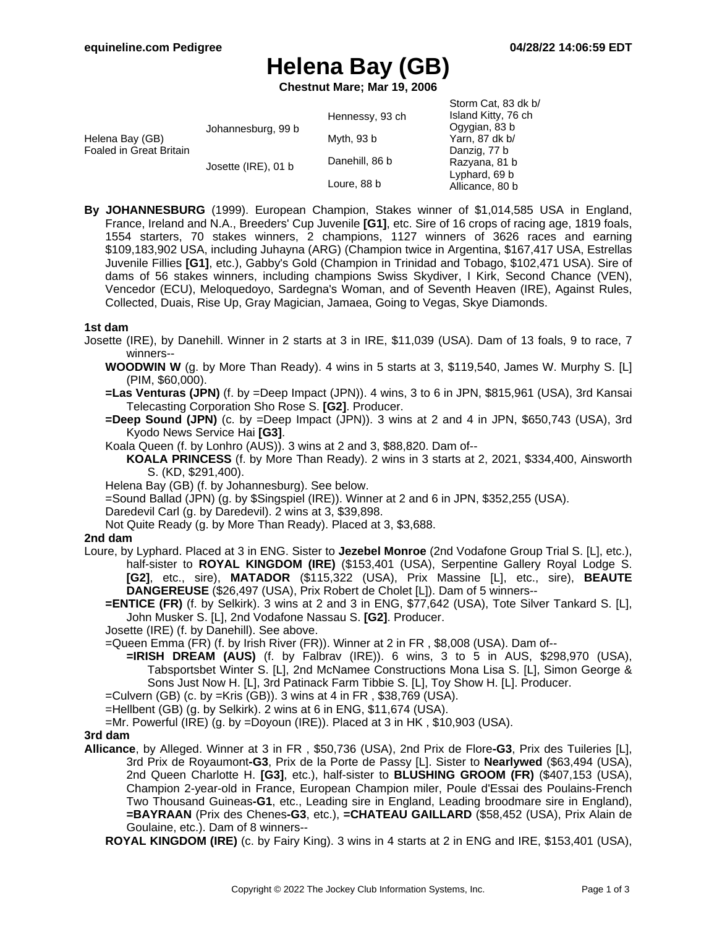# **Helena Bay (GB)**

**Chestnut Mare; Mar 19, 2006**

|                                                   |                     |                 | Storm Cat, 83 dk b/ |
|---------------------------------------------------|---------------------|-----------------|---------------------|
| Helena Bay (GB)<br><b>Foaled in Great Britain</b> | Johannesburg, 99 b  | Hennessy, 93 ch | Island Kitty, 76 ch |
|                                                   |                     |                 | Ogygian, 83 b       |
|                                                   |                     | Myth, 93 b      | Yarn, 87 dk b/      |
|                                                   |                     |                 | Danzig, 77 b        |
|                                                   | Josette (IRE), 01 b | Danehill, 86 b  | Razyana, 81 b       |
|                                                   |                     |                 | Lyphard, 69 b       |
|                                                   |                     | Loure, 88 b     | Allicance, 80 b     |

**By JOHANNESBURG** (1999). European Champion, Stakes winner of \$1,014,585 USA in England, France, Ireland and N.A., Breeders' Cup Juvenile **[G1]**, etc. Sire of 16 crops of racing age, 1819 foals, 1554 starters, 70 stakes winners, 2 champions, 1127 winners of 3626 races and earning \$109,183,902 USA, including Juhayna (ARG) (Champion twice in Argentina, \$167,417 USA, Estrellas Juvenile Fillies **[G1]**, etc.), Gabby's Gold (Champion in Trinidad and Tobago, \$102,471 USA). Sire of dams of 56 stakes winners, including champions Swiss Skydiver, I Kirk, Second Chance (VEN), Vencedor (ECU), Meloquedoyo, Sardegna's Woman, and of Seventh Heaven (IRE), Against Rules, Collected, Duais, Rise Up, Gray Magician, Jamaea, Going to Vegas, Skye Diamonds.

#### **1st dam**

- Josette (IRE), by Danehill. Winner in 2 starts at 3 in IRE, \$11,039 (USA). Dam of 13 foals, 9 to race, 7 winners--
	- **WOODWIN W** (g. by More Than Ready). 4 wins in 5 starts at 3, \$119,540, James W. Murphy S. [L] (PIM, \$60,000).
	- **=Las Venturas (JPN)** (f. by =Deep Impact (JPN)). 4 wins, 3 to 6 in JPN, \$815,961 (USA), 3rd Kansai Telecasting Corporation Sho Rose S. **[G2]**. Producer.
	- **=Deep Sound (JPN)** (c. by =Deep Impact (JPN)). 3 wins at 2 and 4 in JPN, \$650,743 (USA), 3rd Kyodo News Service Hai **[G3]**.
	- Koala Queen (f. by Lonhro (AUS)). 3 wins at 2 and 3, \$88,820. Dam of--
		- **KOALA PRINCESS** (f. by More Than Ready). 2 wins in 3 starts at 2, 2021, \$334,400, Ainsworth S. (KD, \$291,400).
	- Helena Bay (GB) (f. by Johannesburg). See below.
	- =Sound Ballad (JPN) (g. by \$Singspiel (IRE)). Winner at 2 and 6 in JPN, \$352,255 (USA).
	- Daredevil Carl (g. by Daredevil). 2 wins at 3, \$39,898.
	- Not Quite Ready (g. by More Than Ready). Placed at 3, \$3,688.

#### **2nd dam**

- Loure, by Lyphard. Placed at 3 in ENG. Sister to **Jezebel Monroe** (2nd Vodafone Group Trial S. [L], etc.), half-sister to **ROYAL KINGDOM (IRE)** (\$153,401 (USA), Serpentine Gallery Royal Lodge S. **[G2]**, etc., sire), **MATADOR** (\$115,322 (USA), Prix Massine [L], etc., sire), **BEAUTE DANGEREUSE** (\$26,497 (USA), Prix Robert de Cholet [L]). Dam of 5 winners--
	- **=ENTICE (FR)** (f. by Selkirk). 3 wins at 2 and 3 in ENG, \$77,642 (USA), Tote Silver Tankard S. [L], John Musker S. [L], 2nd Vodafone Nassau S. **[G2]**. Producer.
	- Josette (IRE) (f. by Danehill). See above.
	- =Queen Emma (FR) (f. by Irish River (FR)). Winner at 2 in FR , \$8,008 (USA). Dam of--
		- **=IRISH DREAM (AUS)** (f. by Falbrav (IRE)). 6 wins, 3 to 5 in AUS, \$298,970 (USA), Tabsportsbet Winter S. [L], 2nd McNamee Constructions Mona Lisa S. [L], Simon George & Sons Just Now H. [L], 3rd Patinack Farm Tibbie S. [L], Toy Show H. [L]. Producer.
	- =Culvern (GB) (c. by =Kris (GB)). 3 wins at 4 in FR , \$38,769 (USA).
	- =Hellbent (GB) (g. by Selkirk). 2 wins at 6 in ENG, \$11,674 (USA).
	- =Mr. Powerful (IRE) (g. by =Doyoun (IRE)). Placed at 3 in HK , \$10,903 (USA).

### **3rd dam**

- **Allicance**, by Alleged. Winner at 3 in FR , \$50,736 (USA), 2nd Prix de Flore**-G3**, Prix des Tuileries [L], 3rd Prix de Royaumont**-G3**, Prix de la Porte de Passy [L]. Sister to **Nearlywed** (\$63,494 (USA), 2nd Queen Charlotte H. **[G3]**, etc.), half-sister to **BLUSHING GROOM (FR)** (\$407,153 (USA), Champion 2-year-old in France, European Champion miler, Poule d'Essai des Poulains-French Two Thousand Guineas**-G1**, etc., Leading sire in England, Leading broodmare sire in England), **=BAYRAAN** (Prix des Chenes**-G3**, etc.), **=CHATEAU GAILLARD** (\$58,452 (USA), Prix Alain de Goulaine, etc.). Dam of 8 winners--
	- **ROYAL KINGDOM (IRE)** (c. by Fairy King). 3 wins in 4 starts at 2 in ENG and IRE, \$153,401 (USA),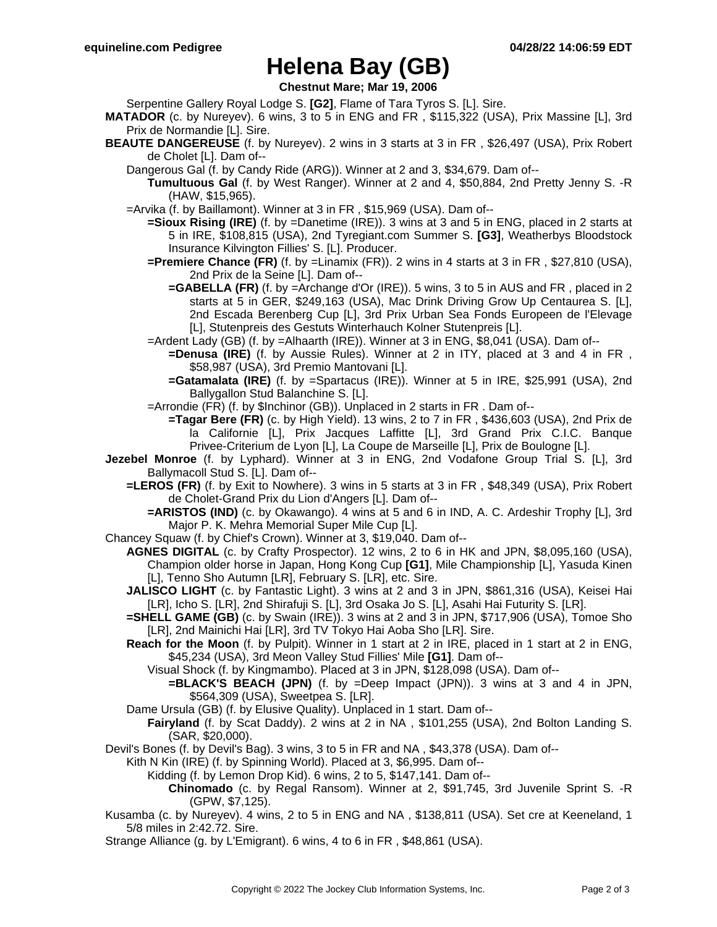# **Helena Bay (GB)**

**Chestnut Mare; Mar 19, 2006**

Serpentine Gallery Royal Lodge S. **[G2]**, Flame of Tara Tyros S. [L]. Sire.

- **MATADOR** (c. by Nureyev). 6 wins, 3 to 5 in ENG and FR , \$115,322 (USA), Prix Massine [L], 3rd Prix de Normandie [L]. Sire.
- **BEAUTE DANGEREUSE** (f. by Nureyev). 2 wins in 3 starts at 3 in FR , \$26,497 (USA), Prix Robert de Cholet [L]. Dam of--
	- Dangerous Gal (f. by Candy Ride (ARG)). Winner at 2 and 3, \$34,679. Dam of--
	- **Tumultuous Gal** (f. by West Ranger). Winner at 2 and 4, \$50,884, 2nd Pretty Jenny S. -R (HAW, \$15,965).
	- =Arvika (f. by Baillamont). Winner at 3 in FR , \$15,969 (USA). Dam of--
		- **=Sioux Rising (IRE)** (f. by =Danetime (IRE)). 3 wins at 3 and 5 in ENG, placed in 2 starts at 5 in IRE, \$108,815 (USA), 2nd Tyregiant.com Summer S. **[G3]**, Weatherbys Bloodstock Insurance Kilvington Fillies' S. [L]. Producer.
		- **=Premiere Chance (FR)** (f. by =Linamix (FR)). 2 wins in 4 starts at 3 in FR , \$27,810 (USA), 2nd Prix de la Seine [L]. Dam of--
			- **=GABELLA (FR)** (f. by =Archange d'Or (IRE)). 5 wins, 3 to 5 in AUS and FR , placed in 2 starts at 5 in GER, \$249,163 (USA), Mac Drink Driving Grow Up Centaurea S. [L], 2nd Escada Berenberg Cup [L], 3rd Prix Urban Sea Fonds Europeen de l'Elevage [L], Stutenpreis des Gestuts Winterhauch Kolner Stutenpreis [L].
		- =Ardent Lady (GB) (f. by =Alhaarth (IRE)). Winner at 3 in ENG, \$8,041 (USA). Dam of--
			- **=Denusa (IRE)** (f. by Aussie Rules). Winner at 2 in ITY, placed at 3 and 4 in FR , \$58,987 (USA), 3rd Premio Mantovani [L].
			- **=Gatamalata (IRE)** (f. by =Spartacus (IRE)). Winner at 5 in IRE, \$25,991 (USA), 2nd Ballygallon Stud Balanchine S. [L].

=Arrondie (FR) (f. by \$Inchinor (GB)). Unplaced in 2 starts in FR . Dam of--

**=Tagar Bere (FR)** (c. by High Yield). 13 wins, 2 to 7 in FR , \$436,603 (USA), 2nd Prix de la Californie [L], Prix Jacques Laffitte [L], 3rd Grand Prix C.I.C. Banque Privee-Criterium de Lyon [L], La Coupe de Marseille [L], Prix de Boulogne [L].

- **Jezebel Monroe** (f. by Lyphard). Winner at 3 in ENG, 2nd Vodafone Group Trial S. [L], 3rd Ballymacoll Stud S. [L]. Dam of--
	- **=LEROS (FR)** (f. by Exit to Nowhere). 3 wins in 5 starts at 3 in FR , \$48,349 (USA), Prix Robert de Cholet-Grand Prix du Lion d'Angers [L]. Dam of--
		- **=ARISTOS (IND)** (c. by Okawango). 4 wins at 5 and 6 in IND, A. C. Ardeshir Trophy [L], 3rd Major P. K. Mehra Memorial Super Mile Cup [L].
- Chancey Squaw (f. by Chief's Crown). Winner at 3, \$19,040. Dam of--
	- **AGNES DIGITAL** (c. by Crafty Prospector). 12 wins, 2 to 6 in HK and JPN, \$8,095,160 (USA), Champion older horse in Japan, Hong Kong Cup **[G1]**, Mile Championship [L], Yasuda Kinen [L], Tenno Sho Autumn [LR], February S. [LR], etc. Sire.
	- **JALISCO LIGHT** (c. by Fantastic Light). 3 wins at 2 and 3 in JPN, \$861,316 (USA), Keisei Hai [LR], Icho S. [LR], 2nd Shirafuji S. [L], 3rd Osaka Jo S. [L], Asahi Hai Futurity S. [LR].
	- **=SHELL GAME (GB)** (c. by Swain (IRE)). 3 wins at 2 and 3 in JPN, \$717,906 (USA), Tomoe Sho [LR], 2nd Mainichi Hai [LR], 3rd TV Tokyo Hai Aoba Sho [LR]. Sire.
	- **Reach for the Moon** (f. by Pulpit). Winner in 1 start at 2 in IRE, placed in 1 start at 2 in ENG, \$45,234 (USA), 3rd Meon Valley Stud Fillies' Mile **[G1]**. Dam of--
		- Visual Shock (f. by Kingmambo). Placed at 3 in JPN, \$128,098 (USA). Dam of--
			- **=BLACK'S BEACH (JPN)** (f. by =Deep Impact (JPN)). 3 wins at 3 and 4 in JPN, \$564,309 (USA), Sweetpea S. [LR].
	- Dame Ursula (GB) (f. by Elusive Quality). Unplaced in 1 start. Dam of--
		- **Fairyland** (f. by Scat Daddy). 2 wins at 2 in NA , \$101,255 (USA), 2nd Bolton Landing S. (SAR, \$20,000).
- Devil's Bones (f. by Devil's Bag). 3 wins, 3 to 5 in FR and NA , \$43,378 (USA). Dam of--

Kith N Kin (IRE) (f. by Spinning World). Placed at 3, \$6,995. Dam of--

- Kidding (f. by Lemon Drop Kid). 6 wins, 2 to 5, \$147,141. Dam of--
	- **Chinomado** (c. by Regal Ransom). Winner at 2, \$91,745, 3rd Juvenile Sprint S. -R (GPW, \$7,125).
- Kusamba (c. by Nureyev). 4 wins, 2 to 5 in ENG and NA , \$138,811 (USA). Set cre at Keeneland, 1 5/8 miles in 2:42.72. Sire.
- Strange Alliance (g. by L'Emigrant). 6 wins, 4 to 6 in FR , \$48,861 (USA).